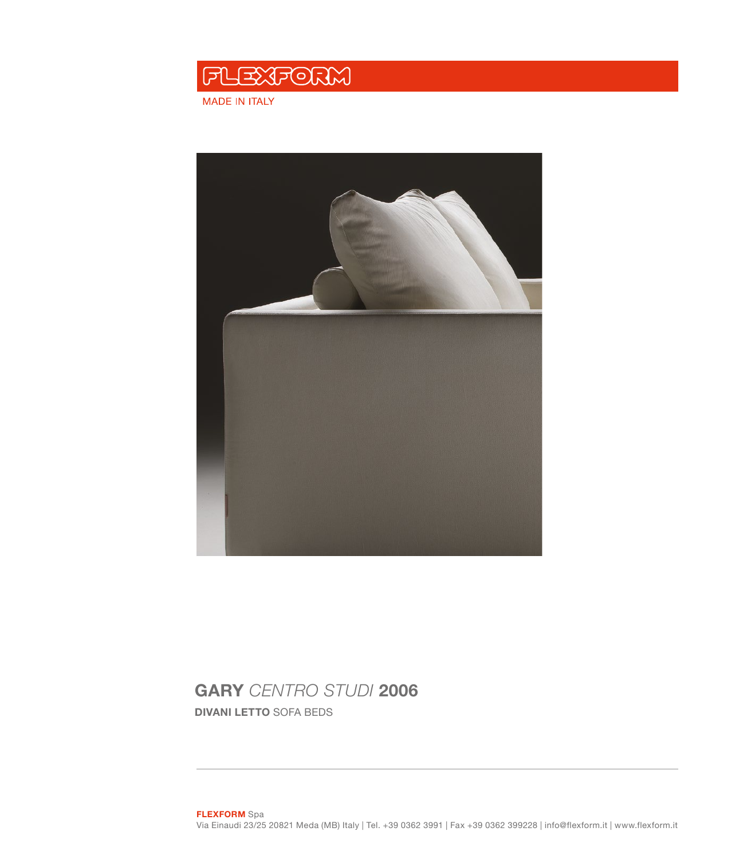**FLEXFORM** 

**MADE IN ITALY** 



## **GARY** *CENTRO STUDI* **2006 DIVANI LETTO** SOFA BEDS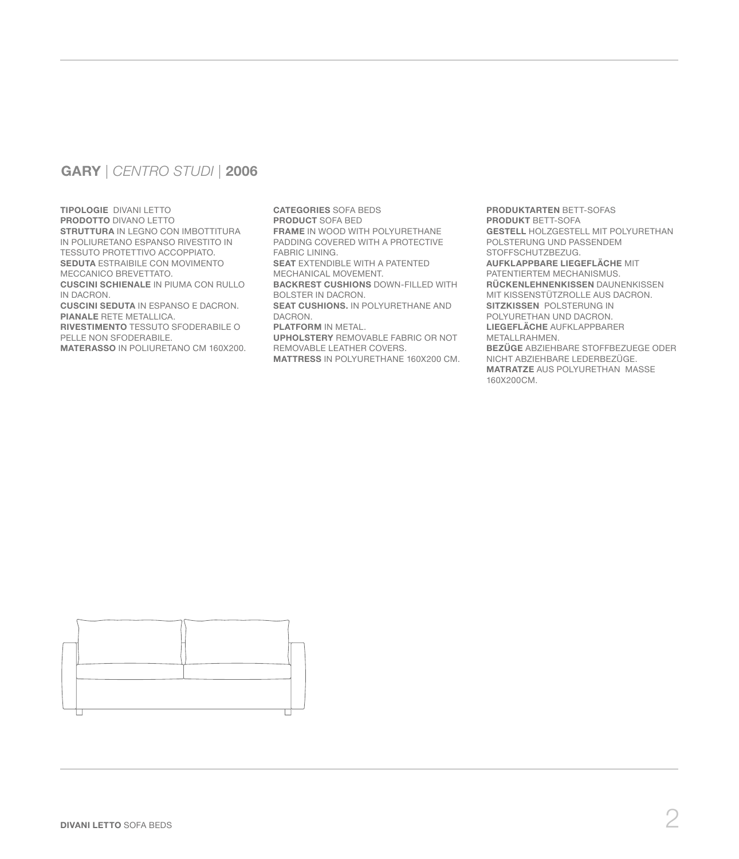## **GARY** *| CENTRO STUDI |* **2006**

**TIPOLOGIE** DIVANI LETTO **PRODOTTO** DIVANO LETTO **STRUTTURA** IN LEGNO CON IMBOTTITURA IN POLIURETANO ESPANSO RIVESTITO IN TESSUTO PROTETTIVO ACCOPPIATO. **SEDUTA** ESTRAIBILE CON MOVIMENTO MECCANICO BREVETTATO. **CUSCINI SCHIENALE** IN PIUMA CON RULLO IN DACRON.

**CUSCINI SEDUTA** IN ESPANSO E DACRON. **PIANALE** RETE METALLICA.

**RIVESTIMENTO** TESSUTO SFODERABILE O PELLE NON SFODERABILE.

**MATERASSO** IN POLIURETANO CM 160X200.

**CATEGORIES** SOFA BEDS **PRODUCT** SOFA BED **FRAME** IN WOOD WITH POLYURETHANE PADDING COVERED WITH A PROTECTIVE FABRIC LINING. **SEAT** EXTENDIBLE WITH A PATENTED MECHANICAL MOVEMENT. **BACKREST CUSHIONS** DOWN-FILLED WITH BOLSTER IN DACRON. **SEAT CUSHIONS.** IN POLYURETHANE AND DACRON. **PLATFORM** IN METAL. **UPHOLSTERY** REMOVABLE FABRIC OR NOT REMOVABLE LEATHER COVERS. **MATTRESS** IN POLYURETHANE 160X200 CM. **PRODUKTARTEN** BETT-SOFAS **PRODUKT** BETT-SOFA **GESTELL** HOLZGESTELL MIT POLYURETHAN POLSTERUNG UND PASSENDEM STOFFSCHUTZBEZUG. **AUFKLAPPBARE LIEGEFLÄCHE** MIT PATENTIERTEM MECHANISMUS. **RÜCKENLEHNENKISSEN** DAUNENKISSEN MIT KISSENSTÜTZROLLE AUS DACRON. **SITZKISSEN** POLSTERUNG IN POLYURETHAN UND DACRON. **LIEGEFLÄCHE** AUFKLAPPBARER METALLRAHMEN. **BEZÜGE** ABZIEHBARE STOFFBEZUEGE ODER NICHT ABZIEHBARE LEDERBEZÜGE. **MATRATZE** AUS POLYURETHAN MASSE 160X200CM.

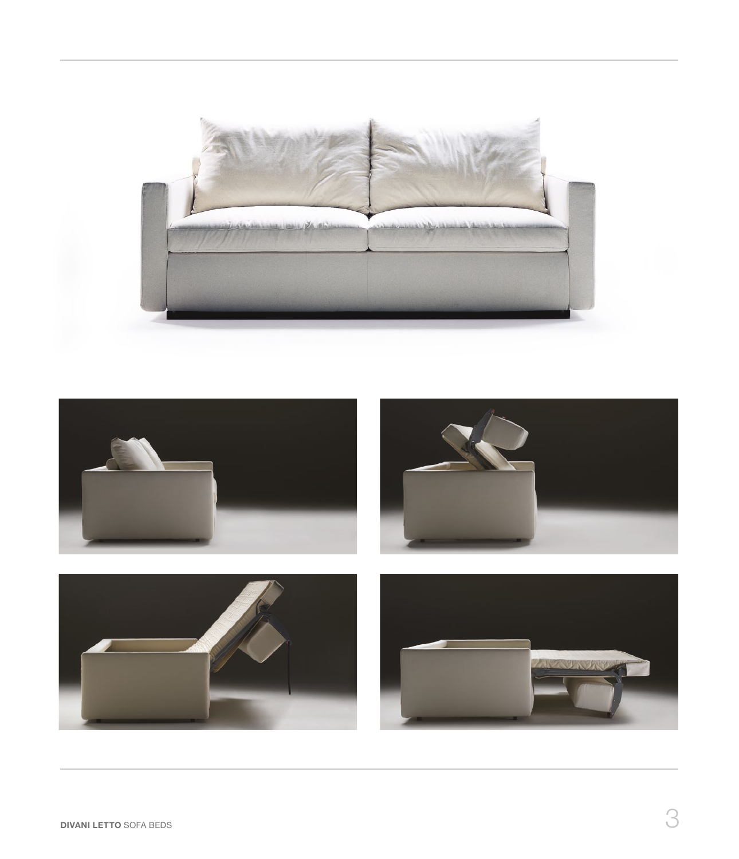